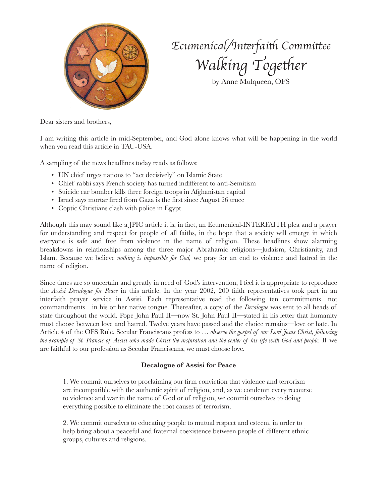

## *Ecumenical/In*t*rfai*t *Commi*t*ee Walking* Together

by Anne Mulqueen, OFS

Dear sisters and brothers,

I am writing this article in mid-September, and God alone knows what will be happening in the world when you read this article in TAU-USA.

A sampling of the news headlines today reads as follows:

- UN chief urges nations to "act decisively" on Islamic State
- Chief rabbi says French society has turned indifferent to anti-Semitism
- Suicide car bomber kills three foreign troops in Afghanistan capital
- Israel says mortar fired from Gaza is the first since August 26 truce
- Coptic Christians clash with police in Egypt

Although this may sound like a JPIC article it is, in fact, an Ecumenical-INTERFAITH plea and a prayer for understanding and respect for people of all faiths, in the hope that a society will emerge in which everyone is safe and free from violence in the name of religion. These headlines show alarming breakdowns in relationships among the three major Abrahamic religions—Judaism, Christianity, and Islam. Because we believe *nothing is impossible for God,* we pray for an end to violence and hatred in the name of religion.

Since times are so uncertain and greatly in need of God's intervention, I feel it is appropriate to reproduce the *Assisi Decalogue for Peace* in this article. In the year 2002, 200 faith representatives took part in an interfaith prayer service in Assisi. Each representative read the following ten commitments—not commandments—in his or her native tongue. Thereafter, a copy of the *Decalogue* was sent to all heads of state throughout the world. Pope John Paul II—now St. John Paul II—stated in his letter that humanity must choose between love and hatred. Twelve years have passed and the choice remains—love or hate. In Article 4 of the OFS Rule, Secular Franciscans profess to … *observe the gospel of our Lord Jesus Christ, following the example of St. Francis of Assisi who made Christ the inspiration and the center of his life with God and people.* If we are faithful to our profession as Secular Franciscans, we must choose love.

## **Decalogue of Assisi for Peace**

1. We commit ourselves to proclaiming our firm conviction that violence and terrorism are incompatible with the authentic spirit of religion, and, as we condemn every recourse to violence and war in the name of God or of religion, we commit ourselves to doing everything possible to eliminate the root causes of terrorism.

2. We commit ourselves to educating people to mutual respect and esteem, in order to help bring about a peaceful and fraternal coexistence between people of different ethnic groups, cultures and religions.